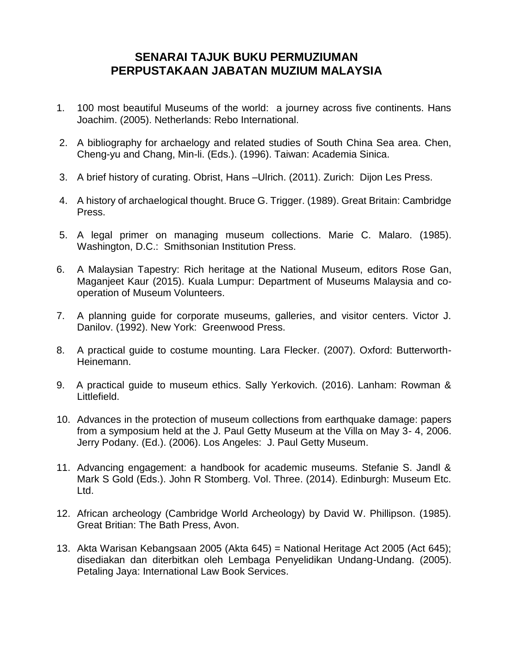## **SENARAI TAJUK BUKU PERMUZIUMAN PERPUSTAKAAN JABATAN MUZIUM MALAYSIA**

- 1. 100 most beautiful Museums of the world: a journey across five continents. Hans Joachim. (2005). Netherlands: Rebo International.
- 2. A bibliography for archaelogy and related studies of South China Sea area. Chen, Cheng-yu and Chang, Min-li. (Eds.). (1996). Taiwan: Academia Sinica.
- 3. A brief history of curating. Obrist, Hans –Ulrich. (2011). Zurich: Dijon Les Press.
- 4. A history of archaelogical thought. Bruce G. Trigger. (1989). Great Britain: Cambridge Press.
- 5. A legal primer on managing museum collections. Marie C. Malaro. (1985). Washington, D.C.: Smithsonian Institution Press.
- 6. A Malaysian Tapestry: Rich heritage at the National Museum, editors Rose Gan, Maganjeet Kaur (2015). Kuala Lumpur: Department of Museums Malaysia and cooperation of Museum Volunteers.
- 7. A planning guide for corporate museums, galleries, and visitor centers. Victor J. Danilov. (1992). New York: Greenwood Press.
- 8. A practical guide to costume mounting. Lara Flecker. (2007). Oxford: Butterworth-Heinemann.
- 9. A practical guide to museum ethics. Sally Yerkovich. (2016). Lanham: Rowman & Littlefield.
- 10. Advances in the protection of museum collections from earthquake damage: papers from a symposium held at the J. Paul Getty Museum at the Villa on May 3- 4, 2006. Jerry Podany. (Ed.). (2006). Los Angeles: J. Paul Getty Museum.
- 11. Advancing engagement: a handbook for academic museums. Stefanie S. Jandl & Mark S Gold (Eds.). John R Stomberg. Vol. Three. (2014). Edinburgh: Museum Etc. Ltd.
- 12. African archeology (Cambridge World Archeology) by David W. Phillipson. (1985). Great Britian: The Bath Press, Avon.
- 13. Akta Warisan Kebangsaan 2005 (Akta 645) = National Heritage Act 2005 (Act 645); disediakan dan diterbitkan oleh Lembaga Penyelidikan Undang-Undang. (2005). Petaling Jaya: International Law Book Services.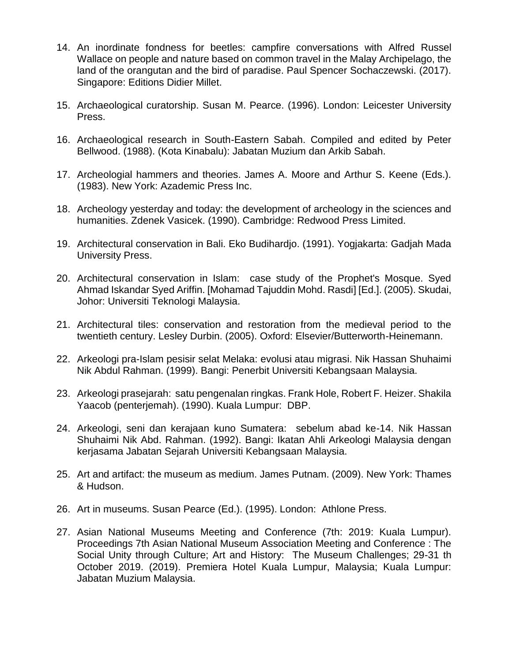- 14. An inordinate fondness for beetles: campfire conversations with Alfred Russel Wallace on people and nature based on common travel in the Malay Archipelago, the land of the orangutan and the bird of paradise. Paul Spencer Sochaczewski. (2017). Singapore: Editions Didier Millet.
- 15. Archaeological curatorship. Susan M. Pearce. (1996). London: Leicester University Press.
- 16. Archaeological research in South-Eastern Sabah. Compiled and edited by Peter Bellwood. (1988). (Kota Kinabalu): Jabatan Muzium dan Arkib Sabah.
- 17. Archeologial hammers and theories. James A. Moore and Arthur S. Keene (Eds.). (1983). New York: Azademic Press Inc.
- 18. Archeology yesterday and today: the development of archeology in the sciences and humanities. Zdenek Vasicek. (1990). Cambridge: Redwood Press Limited.
- 19. Architectural conservation in Bali. Eko Budihardjo. (1991). Yogjakarta: Gadjah Mada University Press.
- 20. Architectural conservation in Islam: case study of the Prophet's Mosque. Syed Ahmad Iskandar Syed Ariffin. [Mohamad Tajuddin Mohd. Rasdi] [Ed.]. (2005). Skudai, Johor: Universiti Teknologi Malaysia.
- 21. Architectural tiles: conservation and restoration from the medieval period to the twentieth century. Lesley Durbin. (2005). Oxford: Elsevier/Butterworth-Heinemann.
- 22. Arkeologi pra-Islam pesisir selat Melaka: evolusi atau migrasi. Nik Hassan Shuhaimi Nik Abdul Rahman. (1999). Bangi: Penerbit Universiti Kebangsaan Malaysia.
- 23. Arkeologi prasejarah: satu pengenalan ringkas. Frank Hole, Robert F. Heizer. Shakila Yaacob (penterjemah). (1990). Kuala Lumpur: DBP.
- 24. Arkeologi, seni dan kerajaan kuno Sumatera: sebelum abad ke-14. Nik Hassan Shuhaimi Nik Abd. Rahman. (1992). Bangi: Ikatan Ahli Arkeologi Malaysia dengan kerjasama Jabatan Sejarah Universiti Kebangsaan Malaysia.
- 25. Art and artifact: the museum as medium. James Putnam. (2009). New York: Thames & Hudson.
- 26. Art in museums. Susan Pearce (Ed.). (1995). London: Athlone Press.
- 27. Asian National Museums Meeting and Conference (7th: 2019: Kuala Lumpur). Proceedings 7th Asian National Museum Association Meeting and Conference : The Social Unity through Culture; Art and History: The Museum Challenges; 29-31 th October 2019. (2019). Premiera Hotel Kuala Lumpur, Malaysia; Kuala Lumpur: Jabatan Muzium Malaysia.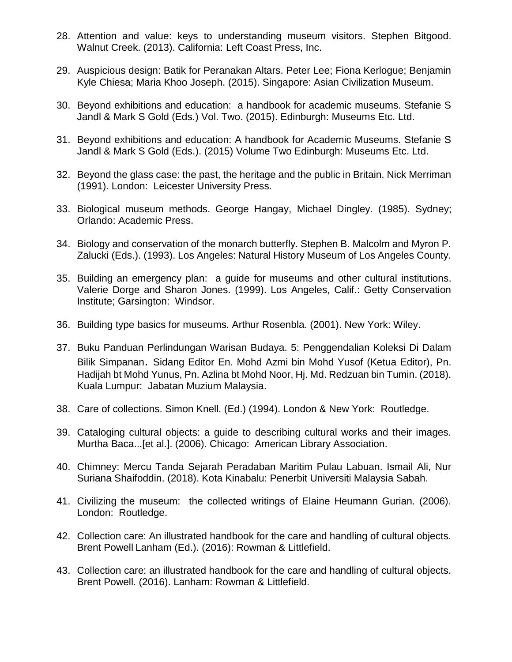- 28. Attention and value: keys to understanding museum visitors. Stephen Bitgood. Walnut Creek. (2013). California: Left Coast Press, Inc.
- 29. Auspicious design: Batik for Peranakan Altars. Peter Lee; Fiona Kerlogue; Benjamin Kyle Chiesa; Maria Khoo Joseph. (2015). Singapore: Asian Civilization Museum.
- 30. Beyond exhibitions and education: a handbook for academic museums. Stefanie S Jandl & Mark S Gold (Eds.) Vol. Two. (2015). Edinburgh: Museums Etc. Ltd.
- 31. Beyond exhibitions and education: A handbook for Academic Museums. Stefanie S Jandl & Mark S Gold (Eds.). (2015) Volume Two Edinburgh: Museums Etc. Ltd.
- 32. Beyond the glass case: the past, the heritage and the public in Britain. Nick Merriman (1991). London: Leicester University Press.
- 33. Biological museum methods. George Hangay, Michael Dingley. (1985). Sydney; Orlando: Academic Press.
- 34. Biology and conservation of the monarch butterfly. Stephen B. Malcolm and Myron P. Zalucki (Eds.). (1993). Los Angeles: Natural History Museum of Los Angeles County.
- 35. Building an emergency plan: a guide for museums and other cultural institutions. Valerie Dorge and Sharon Jones. (1999). Los Angeles, Calif.: Getty Conservation Institute; Garsington: Windsor.
- 36. Building type basics for museums. Arthur Rosenbla. (2001). New York: Wiley.
- 37. Buku Panduan Perlindungan Warisan Budaya. 5: Penggendalian Koleksi Di Dalam Bilik Simpanan. Sidang Editor En. Mohd Azmi bin Mohd Yusof (Ketua Editor), Pn. Hadijah bt Mohd Yunus, Pn. Azlina bt Mohd Noor, Hj. Md. Redzuan bin Tumin. (2018). Kuala Lumpur: Jabatan Muzium Malaysia.
- 38. Care of collections. Simon Knell. (Ed.) (1994). London & New York: Routledge.
- 39. Cataloging cultural objects: a guide to describing cultural works and their images. Murtha Baca...[et al.]. (2006). Chicago: American Library Association.
- 40. Chimney: Mercu Tanda Sejarah Peradaban Maritim Pulau Labuan. Ismail Ali, Nur Suriana Shaifoddin. (2018). Kota Kinabalu: Penerbit Universiti Malaysia Sabah.
- 41. Civilizing the museum: the collected writings of Elaine Heumann Gurian. (2006). London: Routledge.
- 42. Collection care: An illustrated handbook for the care and handling of cultural objects. Brent Powell Lanham (Ed.). (2016): Rowman & Littlefield.
- 43. Collection care: an illustrated handbook for the care and handling of cultural objects. Brent Powell. (2016). Lanham: Rowman & Littlefield.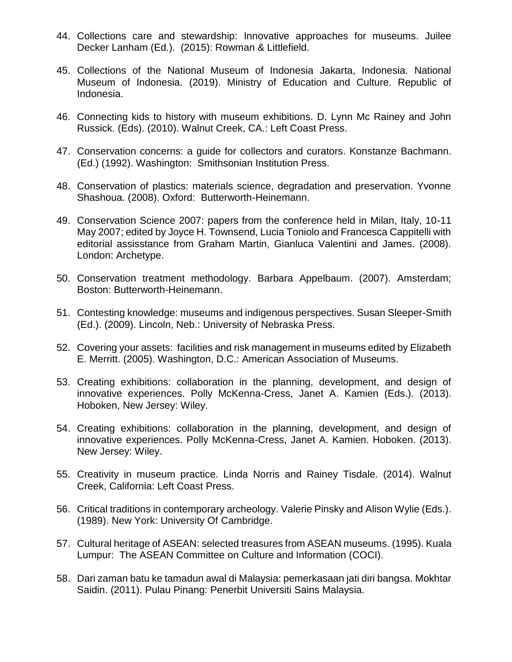- 44. Collections care and stewardship: Innovative approaches for museums. Juilee Decker Lanham (Ed.). (2015): Rowman & Littlefield.
- 45. Collections of the National Museum of Indonesia Jakarta, Indonesia. National Museum of Indonesia. (2019). Ministry of Education and Culture. Republic of Indonesia.
- 46. Connecting kids to history with museum exhibitions. D. Lynn Mc Rainey and John Russick. (Eds). (2010). Walnut Creek, CA.: Left Coast Press.
- 47. Conservation concerns: a guide for collectors and curators. Konstanze Bachmann. (Ed.) (1992). Washington: Smithsonian Institution Press.
- 48. Conservation of plastics: materials science, degradation and preservation. Yvonne Shashoua. (2008). Oxford: Butterworth-Heinemann.
- 49. Conservation Science 2007: papers from the conference held in Milan, Italy, 10-11 May 2007; edited by Joyce H. Townsend, Lucia Toniolo and Francesca Cappitelli with editorial assisstance from Graham Martin, Gianluca Valentini and James. (2008). London: Archetype.
- 50. Conservation treatment methodology. Barbara Appelbaum. (2007). Amsterdam; Boston: Butterworth-Heinemann.
- 51. Contesting knowledge: museums and indigenous perspectives. Susan Sleeper-Smith (Ed.). (2009). Lincoln, Neb.: University of Nebraska Press.
- 52. Covering your assets: facilities and risk management in museums edited by Elizabeth E. Merritt. (2005). Washington, D.C.: American Association of Museums.
- 53. Creating exhibitions: collaboration in the planning, development, and design of innovative experiences. Polly McKenna-Cress, Janet A. Kamien (Eds.). (2013). Hoboken, New Jersey: Wiley.
- 54. Creating exhibitions: collaboration in the planning, development, and design of innovative experiences. Polly McKenna-Cress, Janet A. Kamien. Hoboken. (2013). New Jersey: Wiley.
- 55. Creativity in museum practice. Linda Norris and Rainey Tisdale. (2014). Walnut Creek, California: Left Coast Press.
- 56. Critical traditions in contemporary archeology. Valerie Pinsky and Alison Wylie (Eds.). (1989). New York: University Of Cambridge.
- 57. Cultural heritage of ASEAN: selected treasures from ASEAN museums. (1995). Kuala Lumpur: The ASEAN Committee on Culture and Information (COCI).
- 58. Dari zaman batu ke tamadun awal di Malaysia: pemerkasaan jati diri bangsa. Mokhtar Saidin. (2011). Pulau Pinang: Penerbit Universiti Sains Malaysia.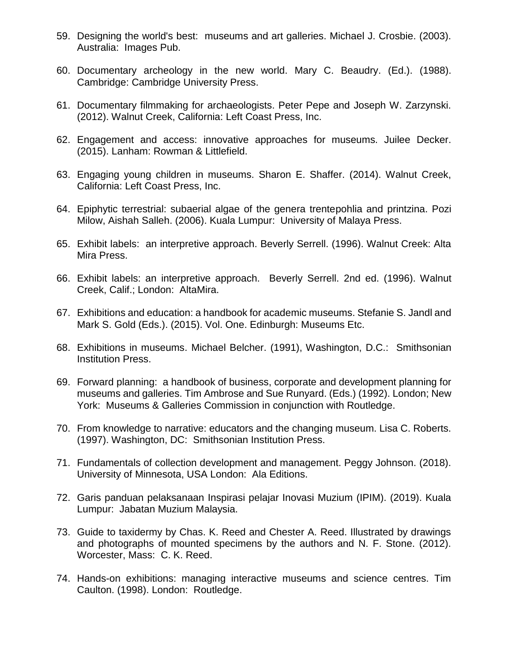- 59. Designing the world's best: museums and art galleries. Michael J. Crosbie. (2003). Australia: Images Pub.
- 60. Documentary archeology in the new world. Mary C. Beaudry. (Ed.). (1988). Cambridge: Cambridge University Press.
- 61. Documentary filmmaking for archaeologists. Peter Pepe and Joseph W. Zarzynski. (2012). Walnut Creek, California: Left Coast Press, Inc.
- 62. Engagement and access: innovative approaches for museums. Juilee Decker. (2015). Lanham: Rowman & Littlefield.
- 63. Engaging young children in museums. Sharon E. Shaffer. (2014). Walnut Creek, California: Left Coast Press, Inc.
- 64. Epiphytic terrestrial: subaerial algae of the genera trentepohlia and printzina. Pozi Milow, Aishah Salleh. (2006). Kuala Lumpur: University of Malaya Press.
- 65. Exhibit labels: an interpretive approach. Beverly Serrell. (1996). Walnut Creek: Alta Mira Press.
- 66. Exhibit labels: an interpretive approach. Beverly Serrell. 2nd ed. (1996). Walnut Creek, Calif.; London: AltaMira.
- 67. Exhibitions and education: a handbook for academic museums. Stefanie S. Jandl and Mark S. Gold (Eds.). (2015). Vol. One. Edinburgh: Museums Etc.
- 68. Exhibitions in museums. Michael Belcher. (1991), Washington, D.C.: Smithsonian Institution Press.
- 69. Forward planning: a handbook of business, corporate and development planning for museums and galleries. Tim Ambrose and Sue Runyard. (Eds.) (1992). London; New York: Museums & Galleries Commission in conjunction with Routledge.
- 70. From knowledge to narrative: educators and the changing museum. Lisa C. Roberts. (1997). Washington, DC: Smithsonian Institution Press.
- 71. Fundamentals of collection development and management. Peggy Johnson. (2018). University of Minnesota, USA London: Ala Editions.
- 72. Garis panduan pelaksanaan Inspirasi pelajar Inovasi Muzium (IPIM). (2019). Kuala Lumpur: Jabatan Muzium Malaysia.
- 73. Guide to taxidermy by Chas. K. Reed and Chester A. Reed. Illustrated by drawings and photographs of mounted specimens by the authors and N. F. Stone. (2012). Worcester, Mass: C. K. Reed.
- 74. Hands-on exhibitions: managing interactive museums and science centres. Tim Caulton. (1998). London: Routledge.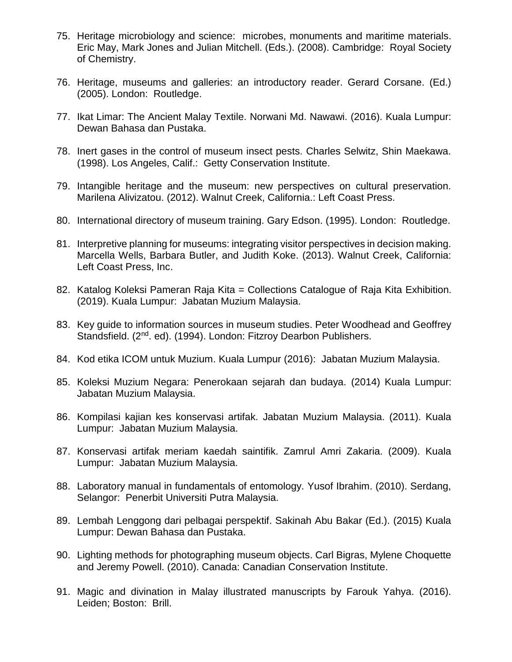- 75. Heritage microbiology and science: microbes, monuments and maritime materials. Eric May, Mark Jones and Julian Mitchell. (Eds.). (2008). Cambridge: Royal Society of Chemistry.
- 76. Heritage, museums and galleries: an introductory reader. Gerard Corsane. (Ed.) (2005). London: Routledge.
- 77. Ikat Limar: The Ancient Malay Textile. Norwani Md. Nawawi. (2016). Kuala Lumpur: Dewan Bahasa dan Pustaka.
- 78. Inert gases in the control of museum insect pests. Charles Selwitz, Shin Maekawa. (1998). Los Angeles, Calif.: Getty Conservation Institute.
- 79. Intangible heritage and the museum: new perspectives on cultural preservation. Marilena Alivizatou. (2012). Walnut Creek, California.: Left Coast Press.
- 80. International directory of museum training. Gary Edson. (1995). London: Routledge.
- 81. Interpretive planning for museums: integrating visitor perspectives in decision making. Marcella Wells, Barbara Butler, and Judith Koke. (2013). Walnut Creek, California: Left Coast Press, Inc.
- 82. Katalog Koleksi Pameran Raja Kita = Collections Catalogue of Raja Kita Exhibition. (2019). Kuala Lumpur: Jabatan Muzium Malaysia.
- 83. Key guide to information sources in museum studies. Peter Woodhead and Geoffrey Standsfield. (2<sup>nd</sup>. ed). (1994). London: Fitzroy Dearbon Publishers.
- 84. Kod etika ICOM untuk Muzium. Kuala Lumpur (2016): Jabatan Muzium Malaysia.
- 85. Koleksi Muzium Negara: Penerokaan sejarah dan budaya. (2014) Kuala Lumpur: Jabatan Muzium Malaysia.
- 86. Kompilasi kajian kes konservasi artifak. Jabatan Muzium Malaysia. (2011). Kuala Lumpur: Jabatan Muzium Malaysia.
- 87. Konservasi artifak meriam kaedah saintifik. Zamrul Amri Zakaria. (2009). Kuala Lumpur: Jabatan Muzium Malaysia.
- 88. Laboratory manual in fundamentals of entomology. Yusof Ibrahim. (2010). Serdang, Selangor: Penerbit Universiti Putra Malaysia.
- 89. Lembah Lenggong dari pelbagai perspektif. Sakinah Abu Bakar (Ed.). (2015) Kuala Lumpur: Dewan Bahasa dan Pustaka.
- 90. Lighting methods for photographing museum objects. Carl Bigras, Mylene Choquette and Jeremy Powell. (2010). Canada: Canadian Conservation Institute.
- 91. Magic and divination in Malay illustrated manuscripts by Farouk Yahya. (2016). Leiden; Boston: Brill.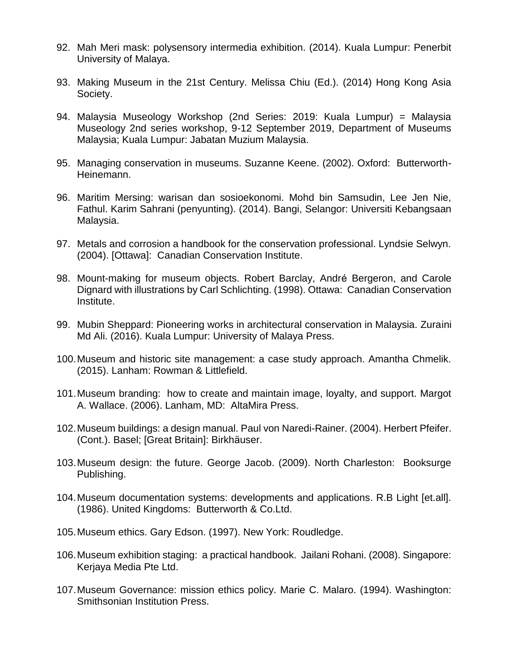- 92. Mah Meri mask: polysensory intermedia exhibition. (2014). Kuala Lumpur: Penerbit University of Malaya.
- 93. Making Museum in the 21st Century. Melissa Chiu (Ed.). (2014) Hong Kong Asia Society.
- 94. Malaysia Museology Workshop (2nd Series: 2019: Kuala Lumpur) = Malaysia Museology 2nd series workshop, 9-12 September 2019, Department of Museums Malaysia; Kuala Lumpur: Jabatan Muzium Malaysia.
- 95. Managing conservation in museums. Suzanne Keene. (2002). Oxford: Butterworth-Heinemann.
- 96. Maritim Mersing: warisan dan sosioekonomi. Mohd bin Samsudin, Lee Jen Nie, Fathul. Karim Sahrani (penyunting). (2014). Bangi, Selangor: Universiti Kebangsaan Malaysia.
- 97. Metals and corrosion a handbook for the conservation professional. Lyndsie Selwyn. (2004). [Ottawa]: Canadian Conservation Institute.
- 98. Mount-making for museum objects. Robert Barclay, André Bergeron, and Carole Dignard with illustrations by Carl Schlichting. (1998). Ottawa: Canadian Conservation Institute.
- 99. Mubin Sheppard: Pioneering works in architectural conservation in Malaysia. Zuraini Md Ali. (2016). Kuala Lumpur: University of Malaya Press.
- 100.Museum and historic site management: a case study approach. Amantha Chmelik. (2015). Lanham: Rowman & Littlefield.
- 101.Museum branding: how to create and maintain image, loyalty, and support. Margot A. Wallace. (2006). Lanham, MD: AltaMira Press.
- 102.Museum buildings: a design manual. Paul von Naredi-Rainer. (2004). Herbert Pfeifer. (Cont.). Basel; [Great Britain]: Birkhäuser.
- 103.Museum design: the future. George Jacob. (2009). North Charleston: Booksurge Publishing.
- 104.Museum documentation systems: developments and applications. R.B Light [et.all]. (1986). United Kingdoms: Butterworth & Co.Ltd.
- 105.Museum ethics. Gary Edson. (1997). New York: Roudledge.
- 106.Museum exhibition staging: a practical handbook. Jailani Rohani. (2008). Singapore: Kerjaya Media Pte Ltd.
- 107.Museum Governance: mission ethics policy. Marie C. Malaro. (1994). Washington: Smithsonian Institution Press.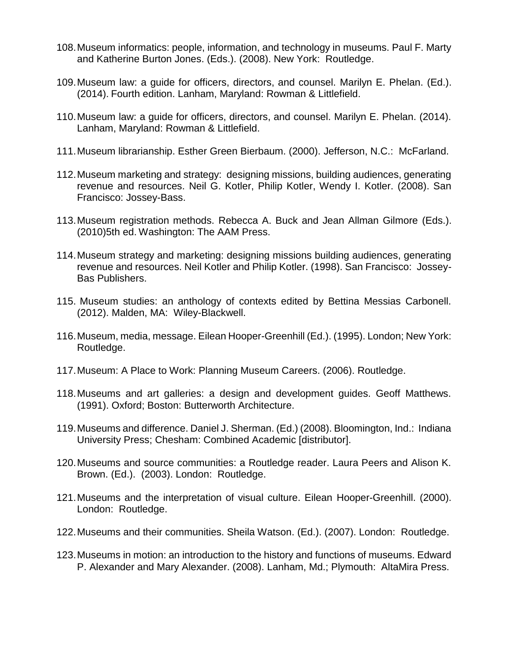- 108.Museum informatics: people, information, and technology in museums. Paul F. Marty and Katherine Burton Jones. (Eds.). (2008). New York: Routledge.
- 109.Museum law: a guide for officers, directors, and counsel. Marilyn E. Phelan. (Ed.). (2014). Fourth edition. Lanham, Maryland: Rowman & Littlefield.
- 110.Museum law: a guide for officers, directors, and counsel. Marilyn E. Phelan. (2014). Lanham, Maryland: Rowman & Littlefield.
- 111.Museum librarianship. Esther Green Bierbaum. (2000). Jefferson, N.C.: McFarland.
- 112.Museum marketing and strategy: designing missions, building audiences, generating revenue and resources. Neil G. Kotler, Philip Kotler, Wendy I. Kotler. (2008). San Francisco: Jossey-Bass.
- 113.Museum registration methods. Rebecca A. Buck and Jean Allman Gilmore (Eds.). (2010)5th ed. Washington: The AAM Press.
- 114.Museum strategy and marketing: designing missions building audiences, generating revenue and resources. Neil Kotler and Philip Kotler. (1998). San Francisco: Jossey-Bas Publishers.
- 115. Museum studies: an anthology of contexts edited by Bettina Messias Carbonell. (2012). Malden, MA: Wiley-Blackwell.
- 116.Museum, media, message. Eilean Hooper-Greenhill (Ed.). (1995). London; New York: Routledge.
- 117.Museum: A Place to Work: Planning Museum Careers. (2006). Routledge.
- 118.Museums and art galleries: a design and development guides. Geoff Matthews. (1991). Oxford; Boston: Butterworth Architecture.
- 119.Museums and difference. Daniel J. Sherman. (Ed.) (2008). Bloomington, Ind.: Indiana University Press; Chesham: Combined Academic [distributor].
- 120.Museums and source communities: a Routledge reader. Laura Peers and Alison K. Brown. (Ed.). (2003). London: Routledge.
- 121.Museums and the interpretation of visual culture. Eilean Hooper-Greenhill. (2000). London: Routledge.
- 122.Museums and their communities. Sheila Watson. (Ed.). (2007). London: Routledge.
- 123.Museums in motion: an introduction to the history and functions of museums. Edward P. Alexander and Mary Alexander. (2008). Lanham, Md.; Plymouth: AltaMira Press.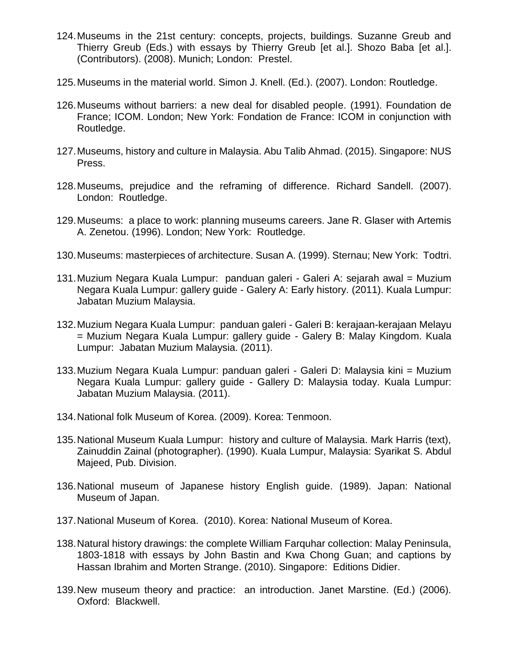- 124.Museums in the 21st century: concepts, projects, buildings. Suzanne Greub and Thierry Greub (Eds.) with essays by Thierry Greub [et al.]. Shozo Baba [et al.]. (Contributors). (2008). Munich; London: Prestel.
- 125.Museums in the material world. Simon J. Knell. (Ed.). (2007). London: Routledge.
- 126.Museums without barriers: a new deal for disabled people. (1991). Foundation de France; ICOM. London; New York: Fondation de France: ICOM in conjunction with Routledge.
- 127.Museums, history and culture in Malaysia. Abu Talib Ahmad. (2015). Singapore: NUS Press.
- 128.Museums, prejudice and the reframing of difference. Richard Sandell. (2007). London: Routledge.
- 129.Museums: a place to work: planning museums careers. Jane R. Glaser with Artemis A. Zenetou. (1996). London; New York: Routledge.
- 130.Museums: masterpieces of architecture. Susan A. (1999). Sternau; New York: Todtri.
- 131.Muzium Negara Kuala Lumpur: panduan galeri Galeri A: sejarah awal = Muzium Negara Kuala Lumpur: gallery guide - Galery A: Early history. (2011). Kuala Lumpur: Jabatan Muzium Malaysia.
- 132.Muzium Negara Kuala Lumpur: panduan galeri Galeri B: kerajaan-kerajaan Melayu = Muzium Negara Kuala Lumpur: gallery guide - Galery B: Malay Kingdom. Kuala Lumpur: Jabatan Muzium Malaysia. (2011).
- 133.Muzium Negara Kuala Lumpur: panduan galeri Galeri D: Malaysia kini = Muzium Negara Kuala Lumpur: gallery guide - Gallery D: Malaysia today. Kuala Lumpur: Jabatan Muzium Malaysia. (2011).
- 134.National folk Museum of Korea. (2009). Korea: Tenmoon.
- 135.National Museum Kuala Lumpur: history and culture of Malaysia. Mark Harris (text), Zainuddin Zainal (photographer). (1990). Kuala Lumpur, Malaysia: Syarikat S. Abdul Majeed, Pub. Division.
- 136.National museum of Japanese history English guide. (1989). Japan: National Museum of Japan.
- 137.National Museum of Korea. (2010). Korea: National Museum of Korea.
- 138.Natural history drawings: the complete William Farquhar collection: Malay Peninsula, 1803-1818 with essays by John Bastin and Kwa Chong Guan; and captions by Hassan Ibrahim and Morten Strange. (2010). Singapore: Editions Didier.
- 139.New museum theory and practice: an introduction. Janet Marstine. (Ed.) (2006). Oxford: Blackwell.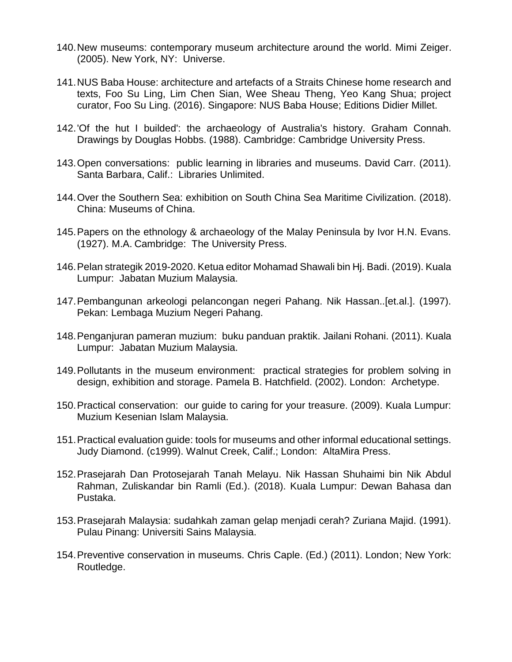- 140.New museums: contemporary museum architecture around the world. Mimi Zeiger. (2005). New York, NY: Universe.
- 141.NUS Baba House: architecture and artefacts of a Straits Chinese home research and texts, Foo Su Ling, Lim Chen Sian, Wee Sheau Theng, Yeo Kang Shua; project curator, Foo Su Ling. (2016). Singapore: NUS Baba House; Editions Didier Millet.
- 142.'Of the hut I builded': the archaeology of Australia's history. Graham Connah. Drawings by Douglas Hobbs. (1988). Cambridge: Cambridge University Press.
- 143.Open conversations: public learning in libraries and museums. David Carr. (2011). Santa Barbara, Calif.: Libraries Unlimited.
- 144.Over the Southern Sea: exhibition on South China Sea Maritime Civilization. (2018). China: Museums of China.
- 145.Papers on the ethnology & archaeology of the Malay Peninsula by Ivor H.N. Evans. (1927). M.A. Cambridge: The University Press.
- 146.Pelan strategik 2019-2020. Ketua editor Mohamad Shawali bin Hj. Badi. (2019). Kuala Lumpur: Jabatan Muzium Malaysia.
- 147.Pembangunan arkeologi pelancongan negeri Pahang. Nik Hassan..[et.al.]. (1997). Pekan: Lembaga Muzium Negeri Pahang.
- 148.Penganjuran pameran muzium: buku panduan praktik. Jailani Rohani. (2011). Kuala Lumpur: Jabatan Muzium Malaysia.
- 149.Pollutants in the museum environment: practical strategies for problem solving in design, exhibition and storage. Pamela B. Hatchfield. (2002). London: Archetype.
- 150.Practical conservation: our guide to caring for your treasure. (2009). Kuala Lumpur: Muzium Kesenian Islam Malaysia.
- 151.Practical evaluation guide: tools for museums and other informal educational settings. Judy Diamond. (c1999). Walnut Creek, Calif.; London: AltaMira Press.
- 152.Prasejarah Dan Protosejarah Tanah Melayu. Nik Hassan Shuhaimi bin Nik Abdul Rahman, Zuliskandar bin Ramli (Ed.). (2018). Kuala Lumpur: Dewan Bahasa dan Pustaka.
- 153.Prasejarah Malaysia: sudahkah zaman gelap menjadi cerah? Zuriana Majid. (1991). Pulau Pinang: Universiti Sains Malaysia.
- 154.Preventive conservation in museums. Chris Caple. (Ed.) (2011). London; New York: Routledge.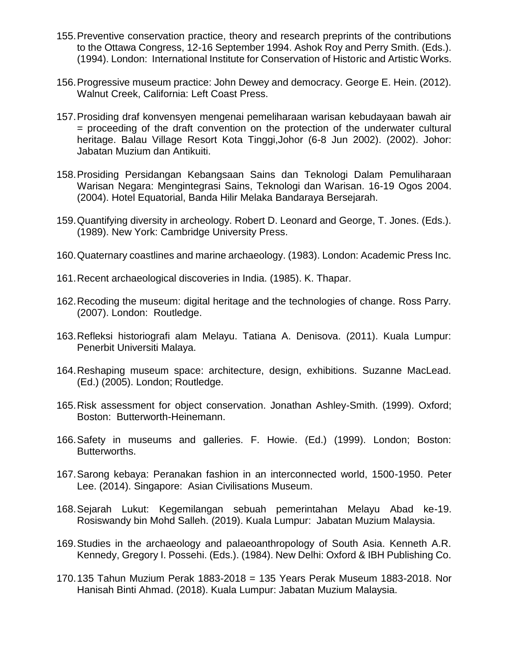- 155.Preventive conservation practice, theory and research preprints of the contributions to the Ottawa Congress, 12-16 September 1994. Ashok Roy and Perry Smith. (Eds.). (1994). London: International Institute for Conservation of Historic and Artistic Works.
- 156.Progressive museum practice: John Dewey and democracy. George E. Hein. (2012). Walnut Creek, California: Left Coast Press.
- 157.Prosiding draf konvensyen mengenai pemeliharaan warisan kebudayaan bawah air = proceeding of the draft convention on the protection of the underwater cultural heritage. Balau Village Resort Kota Tinggi,Johor (6-8 Jun 2002). (2002). Johor: Jabatan Muzium dan Antikuiti.
- 158.Prosiding Persidangan Kebangsaan Sains dan Teknologi Dalam Pemuliharaan Warisan Negara: Mengintegrasi Sains, Teknologi dan Warisan. 16-19 Ogos 2004. (2004). Hotel Equatorial, Banda Hilir Melaka Bandaraya Bersejarah.
- 159.Quantifying diversity in archeology. Robert D. Leonard and George, T. Jones. (Eds.). (1989). New York: Cambridge University Press.
- 160.Quaternary coastlines and marine archaeology. (1983). London: Academic Press Inc.
- 161.Recent archaeological discoveries in India. (1985). K. Thapar.
- 162.Recoding the museum: digital heritage and the technologies of change. Ross Parry. (2007). London: Routledge.
- 163.Refleksi historiografi alam Melayu. Tatiana A. Denisova. (2011). Kuala Lumpur: Penerbit Universiti Malaya.
- 164.Reshaping museum space: architecture, design, exhibitions. Suzanne MacLead. (Ed.) (2005). London; Routledge.
- 165.Risk assessment for object conservation. Jonathan Ashley-Smith. (1999). Oxford; Boston: Butterworth-Heinemann.
- 166.Safety in museums and galleries. F. Howie. (Ed.) (1999). London; Boston: Butterworths.
- 167.Sarong kebaya: Peranakan fashion in an interconnected world, 1500-1950. Peter Lee. (2014). Singapore: Asian Civilisations Museum.
- 168.Sejarah Lukut: Kegemilangan sebuah pemerintahan Melayu Abad ke-19. Rosiswandy bin Mohd Salleh. (2019). Kuala Lumpur: Jabatan Muzium Malaysia.
- 169.Studies in the archaeology and palaeoanthropology of South Asia. Kenneth A.R. Kennedy, Gregory I. Possehi. (Eds.). (1984). New Delhi: Oxford & IBH Publishing Co.
- 170.135 Tahun Muzium Perak 1883-2018 = 135 Years Perak Museum 1883-2018. Nor Hanisah Binti Ahmad. (2018). Kuala Lumpur: Jabatan Muzium Malaysia.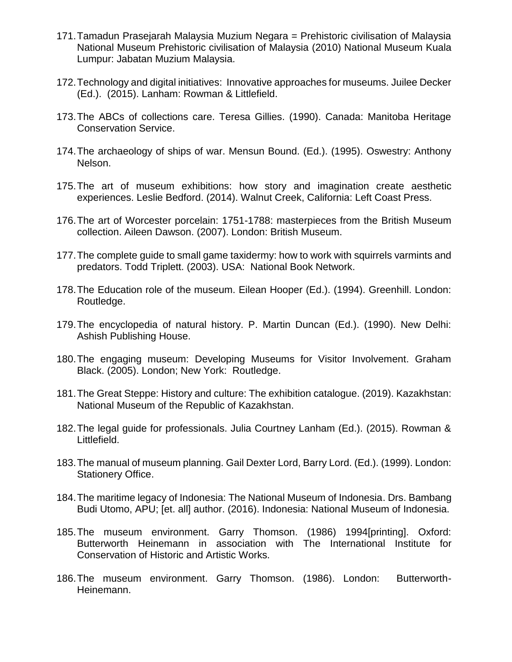- 171.Tamadun Prasejarah Malaysia Muzium Negara = Prehistoric civilisation of Malaysia National Museum Prehistoric civilisation of Malaysia (2010) National Museum Kuala Lumpur: Jabatan Muzium Malaysia.
- 172.Technology and digital initiatives: Innovative approaches for museums. Juilee Decker (Ed.). (2015). Lanham: Rowman & Littlefield.
- 173.The ABCs of collections care. Teresa Gillies. (1990). Canada: Manitoba Heritage Conservation Service.
- 174.The archaeology of ships of war. Mensun Bound. (Ed.). (1995). Oswestry: Anthony Nelson.
- 175.The art of museum exhibitions: how story and imagination create aesthetic experiences. Leslie Bedford. (2014). Walnut Creek, California: Left Coast Press.
- 176.The art of Worcester porcelain: 1751-1788: masterpieces from the British Museum collection. Aileen Dawson. (2007). London: British Museum.
- 177.The complete guide to small game taxidermy: how to work with squirrels varmints and predators. Todd Triplett. (2003). USA: National Book Network.
- 178.The Education role of the museum. Eilean Hooper (Ed.). (1994). Greenhill. London: Routledge.
- 179.The encyclopedia of natural history. P. Martin Duncan (Ed.). (1990). New Delhi: Ashish Publishing House.
- 180.The engaging museum: Developing Museums for Visitor Involvement. Graham Black. (2005). London; New York: Routledge.
- 181.The Great Steppe: History and culture: The exhibition catalogue. (2019). Kazakhstan: National Museum of the Republic of Kazakhstan.
- 182.The legal guide for professionals. Julia Courtney Lanham (Ed.). (2015). Rowman & Littlefield.
- 183.The manual of museum planning. Gail Dexter Lord, Barry Lord. (Ed.). (1999). London: Stationery Office.
- 184.The maritime legacy of Indonesia: The National Museum of Indonesia. Drs. Bambang Budi Utomo, APU; [et. all] author. (2016). Indonesia: National Museum of Indonesia.
- 185.The museum environment. Garry Thomson. (1986) 1994[printing]. Oxford: Butterworth Heinemann in association with The International Institute for Conservation of Historic and Artistic Works.
- 186.The museum environment. Garry Thomson. (1986). London: Butterworth-Heinemann.